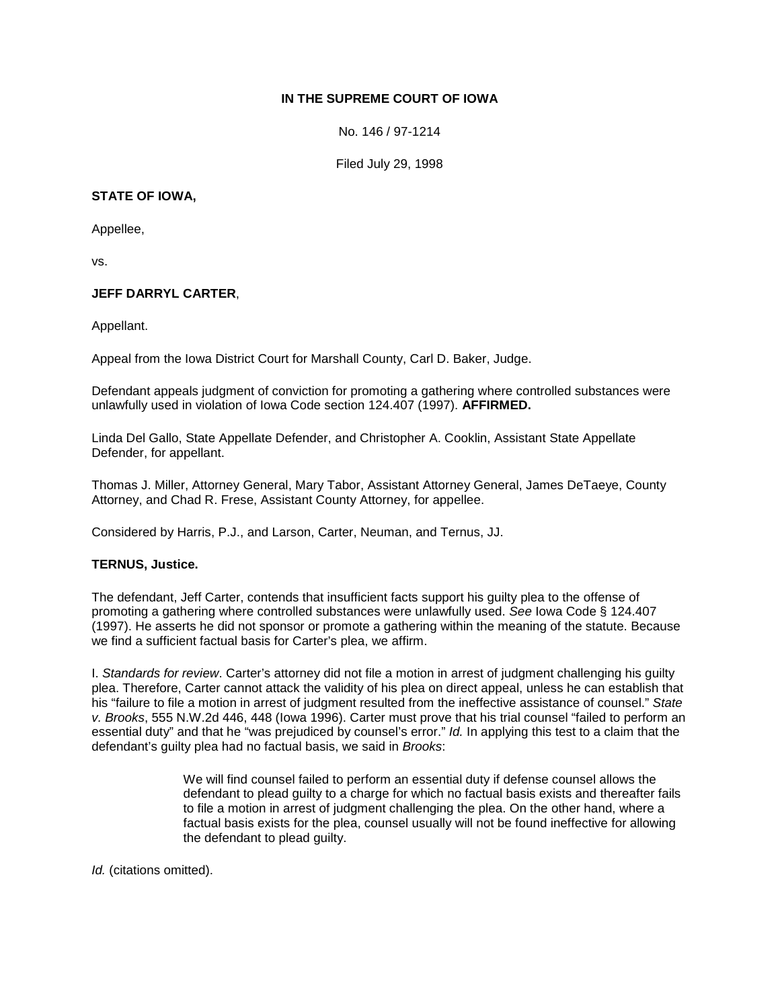# **IN THE SUPREME COURT OF IOWA**

No. 146 / 97-1214

Filed July 29, 1998

## **STATE OF IOWA,**

Appellee,

vs.

## **JEFF DARRYL CARTER**,

Appellant.

Appeal from the Iowa District Court for Marshall County, Carl D. Baker, Judge.

Defendant appeals judgment of conviction for promoting a gathering where controlled substances were unlawfully used in violation of Iowa Code section 124.407 (1997). **AFFIRMED.**

Linda Del Gallo, State Appellate Defender, and Christopher A. Cooklin, Assistant State Appellate Defender, for appellant.

Thomas J. Miller, Attorney General, Mary Tabor, Assistant Attorney General, James DeTaeye, County Attorney, and Chad R. Frese, Assistant County Attorney, for appellee.

Considered by Harris, P.J., and Larson, Carter, Neuman, and Ternus, JJ.

### **TERNUS, Justice.**

The defendant, Jeff Carter, contends that insufficient facts support his guilty plea to the offense of promoting a gathering where controlled substances were unlawfully used. *See* Iowa Code § 124.407 (1997). He asserts he did not sponsor or promote a gathering within the meaning of the statute. Because we find a sufficient factual basis for Carter's plea, we affirm.

I. *Standards for review*. Carter's attorney did not file a motion in arrest of judgment challenging his guilty plea. Therefore, Carter cannot attack the validity of his plea on direct appeal, unless he can establish that his "failure to file a motion in arrest of judgment resulted from the ineffective assistance of counsel." *State v. Brooks*, 555 N.W.2d 446, 448 (Iowa 1996). Carter must prove that his trial counsel "failed to perform an essential duty" and that he "was prejudiced by counsel's error." *Id.* In applying this test to a claim that the defendant's guilty plea had no factual basis, we said in *Brooks*:

> We will find counsel failed to perform an essential duty if defense counsel allows the defendant to plead guilty to a charge for which no factual basis exists and thereafter fails to file a motion in arrest of judgment challenging the plea. On the other hand, where a factual basis exists for the plea, counsel usually will not be found ineffective for allowing the defendant to plead guilty.

*Id.* (citations omitted).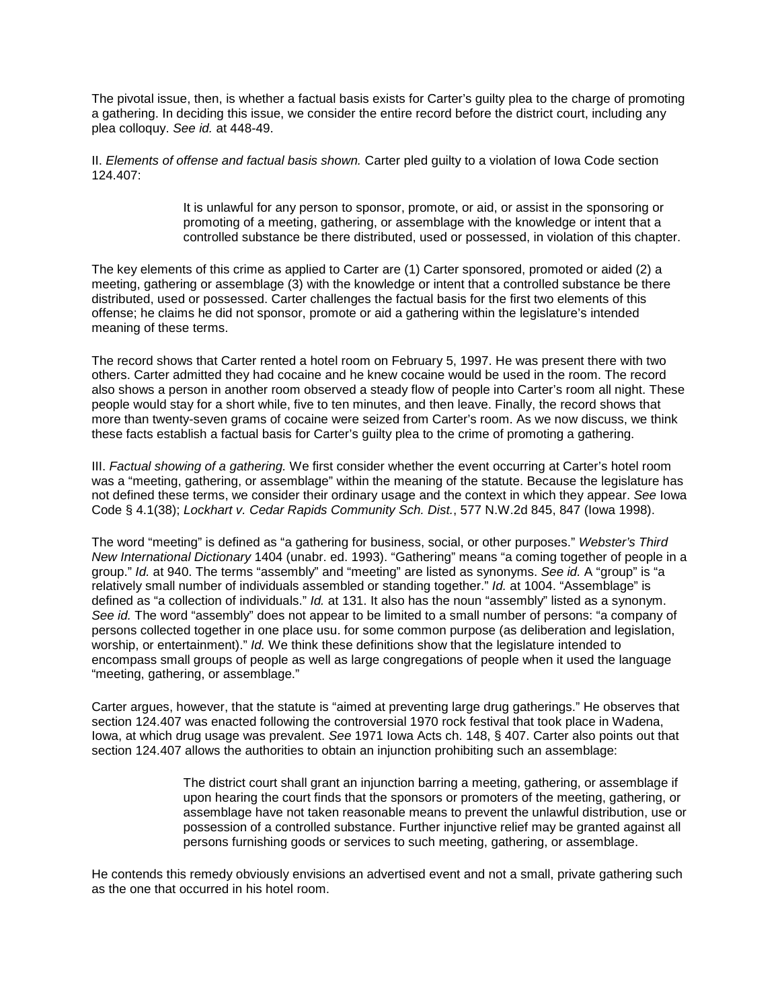The pivotal issue, then, is whether a factual basis exists for Carter's guilty plea to the charge of promoting a gathering. In deciding this issue, we consider the entire record before the district court, including any plea colloquy. *See id.* at 448-49.

II. *Elements of offense and factual basis shown.* Carter pled guilty to a violation of Iowa Code section 124.407:

> It is unlawful for any person to sponsor, promote, or aid, or assist in the sponsoring or promoting of a meeting, gathering, or assemblage with the knowledge or intent that a controlled substance be there distributed, used or possessed, in violation of this chapter.

The key elements of this crime as applied to Carter are (1) Carter sponsored, promoted or aided (2) a meeting, gathering or assemblage (3) with the knowledge or intent that a controlled substance be there distributed, used or possessed. Carter challenges the factual basis for the first two elements of this offense; he claims he did not sponsor, promote or aid a gathering within the legislature's intended meaning of these terms.

The record shows that Carter rented a hotel room on February 5, 1997. He was present there with two others. Carter admitted they had cocaine and he knew cocaine would be used in the room. The record also shows a person in another room observed a steady flow of people into Carter's room all night. These people would stay for a short while, five to ten minutes, and then leave. Finally, the record shows that more than twenty-seven grams of cocaine were seized from Carter's room. As we now discuss, we think these facts establish a factual basis for Carter's guilty plea to the crime of promoting a gathering.

III. *Factual showing of a gathering.* We first consider whether the event occurring at Carter's hotel room was a "meeting, gathering, or assemblage" within the meaning of the statute. Because the legislature has not defined these terms, we consider their ordinary usage and the context in which they appear. *See* Iowa Code § 4.1(38); *Lockhart v. Cedar Rapids Community Sch. Dist.*, 577 N.W.2d 845, 847 (Iowa 1998).

The word "meeting" is defined as "a gathering for business, social, or other purposes." *Webster's Third New International Dictionary* 1404 (unabr. ed. 1993). "Gathering" means "a coming together of people in a group." *Id.* at 940. The terms "assembly" and "meeting" are listed as synonyms. *See id.* A "group" is "a relatively small number of individuals assembled or standing together." *Id.* at 1004. "Assemblage" is defined as "a collection of individuals." *Id.* at 131. It also has the noun "assembly" listed as a synonym. *See id.* The word "assembly" does not appear to be limited to a small number of persons: "a company of persons collected together in one place usu. for some common purpose (as deliberation and legislation, worship, or entertainment)." *Id.* We think these definitions show that the legislature intended to encompass small groups of people as well as large congregations of people when it used the language "meeting, gathering, or assemblage."

Carter argues, however, that the statute is "aimed at preventing large drug gatherings." He observes that section 124.407 was enacted following the controversial 1970 rock festival that took place in Wadena, Iowa, at which drug usage was prevalent. *See* 1971 Iowa Acts ch. 148, § 407. Carter also points out that section 124.407 allows the authorities to obtain an injunction prohibiting such an assemblage:

> The district court shall grant an injunction barring a meeting, gathering, or assemblage if upon hearing the court finds that the sponsors or promoters of the meeting, gathering, or assemblage have not taken reasonable means to prevent the unlawful distribution, use or possession of a controlled substance. Further injunctive relief may be granted against all persons furnishing goods or services to such meeting, gathering, or assemblage.

He contends this remedy obviously envisions an advertised event and not a small, private gathering such as the one that occurred in his hotel room.